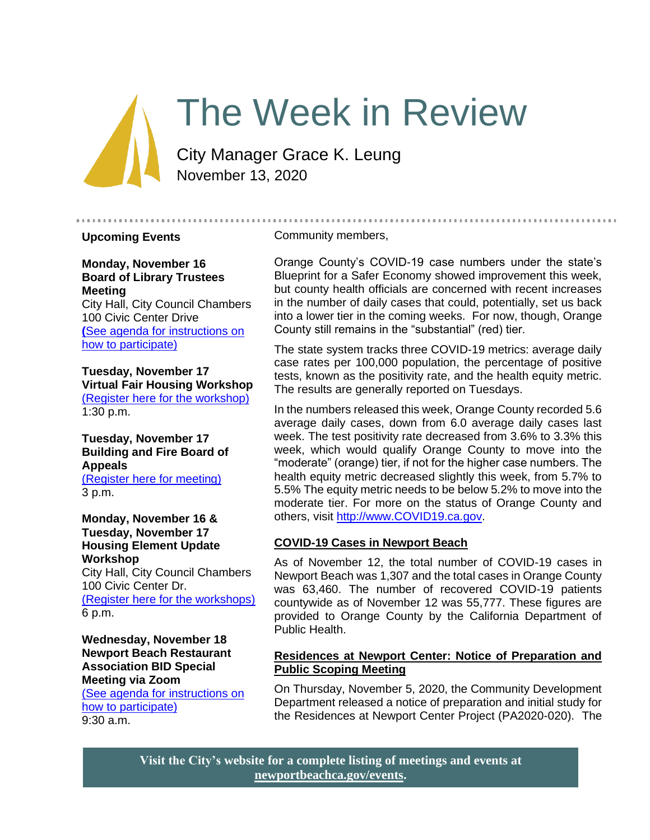# The Week in Review

City Manager Grace K. Leung November 13, 2020

### **Upcoming Events**

Community members,

**Monday, November 16 Board of Library Trustees Meeting** City Hall, City Council Chambers

100 Civic Center Drive **(**[See agenda for instructions on](https://www.newportbeachca.gov/Home/Components/Calendar/Event/63658/72)  [how to participate\)](https://www.newportbeachca.gov/Home/Components/Calendar/Event/63658/72)

**Tuesday, November 17 Virtual Fair Housing Workshop** [\(Register here for the workshop\)](https://bit.ly/34GvlR7) 1:30 p.m.

**Tuesday, November 17 Building and Fire Board of Appeals** [\(Register here for meeting\)](https://zoom.us/webinar/register/WN_vKi8acE8TgKk6WEe1L9mfQ) 3 p.m.

**Monday, November 16 & Tuesday, November 17 Housing Element Update Workshop** City Hall, City Council Chambers 100 Civic Center Dr. [\(Register here for the workshops\)](https://zoom.us/meeting/register/tJMrduqqpz4uGdY79F7tepkYWnEzWZboA2qu) 6 p.m.

**Wednesday, November 18 Newport Beach Restaurant Association BID Special Meeting via Zoom** [\(See agenda for instructions on](https://www.newportbeachca.gov/Home/Components/Calendar/Event/65073/72)  [how to participate\)](https://www.newportbeachca.gov/Home/Components/Calendar/Event/65073/72) 9:30 a.m.

Orange County's COVID-19 case numbers under the state's Blueprint for a Safer Economy showed improvement this week, but county health officials are concerned with recent increases in the number of daily cases that could, potentially, set us back into a lower tier in the coming weeks. For now, though, Orange County still remains in the "substantial" (red) tier.

The state system tracks three COVID-19 metrics: average daily case rates per 100,000 population, the percentage of positive tests, known as the positivity rate, and the health equity metric. The results are generally reported on Tuesdays.

In the numbers released this week, Orange County recorded 5.6 average daily cases, down from 6.0 average daily cases last week. The test positivity rate decreased from 3.6% to 3.3% this week, which would qualify Orange County to move into the "moderate" (orange) tier, if not for the higher case numbers. The health equity metric decreased slightly this week, from 5.7% to 5.5% The equity metric needs to be below 5.2% to move into the moderate tier. For more on the status of Orange County and others, visit [http://www.COVID19.ca.gov.](http://www.covid19.ca.gov/)

# **COVID-19 Cases in Newport Beach**

As of November 12, the total number of COVID-19 cases in Newport Beach was 1,307 and the total cases in Orange County was 63,460. The number of recovered COVID-19 patients countywide as of November 12 was 55,777. These figures are provided to Orange County by the California Department of Public Health.

### **Residences at Newport Center: Notice of Preparation and Public Scoping Meeting**

On Thursday, November 5, 2020, the Community Development Department released a notice of preparation and initial study for the Residences at Newport Center Project (PA2020-020). The

**Visit the City's website for a complete listing of meetings and events at [newportbeachca.gov/events.](https://www.newportbeachca.gov/government/open-government/city-calendar)**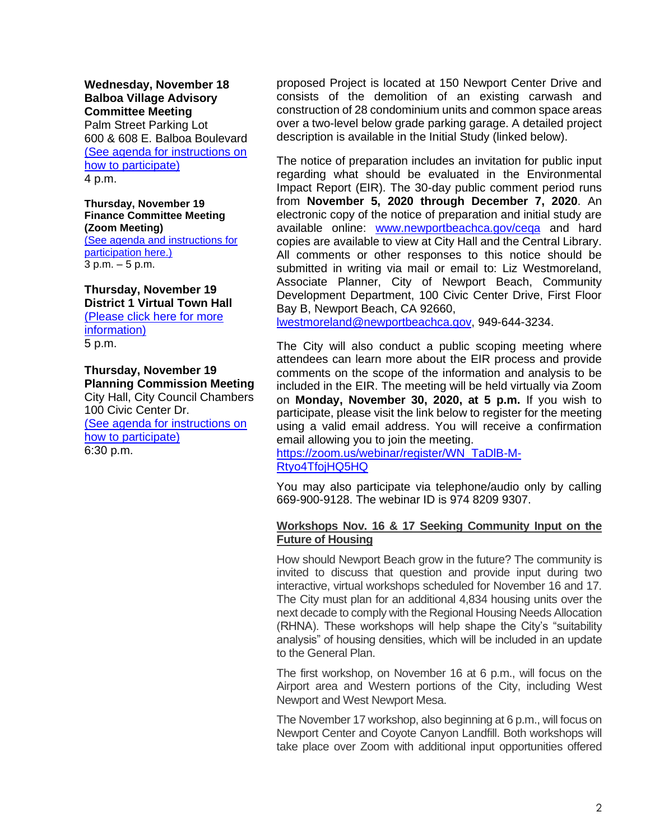**Wednesday, November 18 Balboa Village Advisory Committee Meeting**

Palm Street Parking Lot 600 & 608 E. Balboa Boulevard [\(See agenda for instructions on](https://www.newportbeachca.gov/government/open-government/agendas-minutes/balboa-village-advisory-committee-agenda-bvac)  [how to participate\)](https://www.newportbeachca.gov/government/open-government/agendas-minutes/balboa-village-advisory-committee-agenda-bvac) 4 p.m.

**Thursday, November 19 Finance Committee Meeting (Zoom Meeting)** [\(See agenda and instructions for](https://newportbeachca.gov/Home/Components/Calendar/Event/64263/72)  [participation here.\)](https://newportbeachca.gov/Home/Components/Calendar/Event/64263/72) 3 p.m. – 5 p.m.

**Thursday, November 19 District 1 Virtual Town Hall** [\(Please click here for more](https://www.newportbeachca.gov/Home/Components/Calendar/Event/64970/72)  [information\)](https://www.newportbeachca.gov/Home/Components/Calendar/Event/64970/72) 5 p.m.

**Thursday, November 19 Planning Commission Meeting** City Hall, City Council Chambers 100 Civic Center Dr. [\(See agenda for instructions on](https://www.newportbeachca.gov/government/departments/community-development/planning-division/planning-commission)  [how to participate\)](https://www.newportbeachca.gov/government/departments/community-development/planning-division/planning-commission) 6:30 p.m.

proposed Project is located at 150 Newport Center Drive and consists of the demolition of an existing carwash and construction of 28 condominium units and common space areas over a two-level below grade parking garage. A detailed project description is available in the Initial Study (linked below).

The notice of preparation includes an invitation for public input regarding what should be evaluated in the Environmental Impact Report (EIR). The 30-day public comment period runs from **November 5, 2020 through December 7, 2020**. An electronic copy of the notice of preparation and initial study are available online: [www.newportbeachca.gov/ceqa](http://www.newportbeachca.gov/ceqa) and hard copies are available to view at City Hall and the Central Library. All comments or other responses to this notice should be submitted in writing via mail or email to: Liz Westmoreland, Associate Planner, City of Newport Beach, Community Development Department, 100 Civic Center Drive, First Floor Bay B, Newport Beach, CA 92660,

[lwestmoreland@newportbeachca.gov,](mailto:lwestmoreland@newportbeachca.gov) 949-644-3234.

The City will also conduct a public scoping meeting where attendees can learn more about the EIR process and provide comments on the scope of the information and analysis to be included in the EIR. The meeting will be held virtually via Zoom on **Monday, November 30, 2020, at 5 p.m.** If you wish to participate, please visit the link below to register for the meeting using a valid email address. You will receive a confirmation email allowing you to join the meeting.

[https://zoom.us/webinar/register/WN\\_TaDlB-M-](https://zoom.us/webinar/register/WN_TaDlB-M-Rtyo4TfojHQ5HQ)[Rtyo4TfojHQ5HQ](https://zoom.us/webinar/register/WN_TaDlB-M-Rtyo4TfojHQ5HQ)

You may also participate via telephone/audio only by calling 669-900-9128. The webinar ID is 974 8209 9307.

# **Workshops Nov. 16 & 17 Seeking Community Input on the Future of Housing**

How should Newport Beach grow in the future? The community is invited to discuss that question and provide input during two interactive, virtual workshops scheduled for November 16 and 17. The City must plan for an additional 4,834 housing units over the next decade to comply with the Regional Housing Needs Allocation (RHNA). These workshops will help shape the City's "suitability analysis" of housing densities, which will be included in an update to the General Plan.

The first workshop, on November 16 at 6 p.m., will focus on the Airport area and Western portions of the City, including West Newport and West Newport Mesa.

The November 17 workshop, also beginning at 6 p.m., will focus on Newport Center and Coyote Canyon Landfill. Both workshops will take place over Zoom with additional input opportunities offered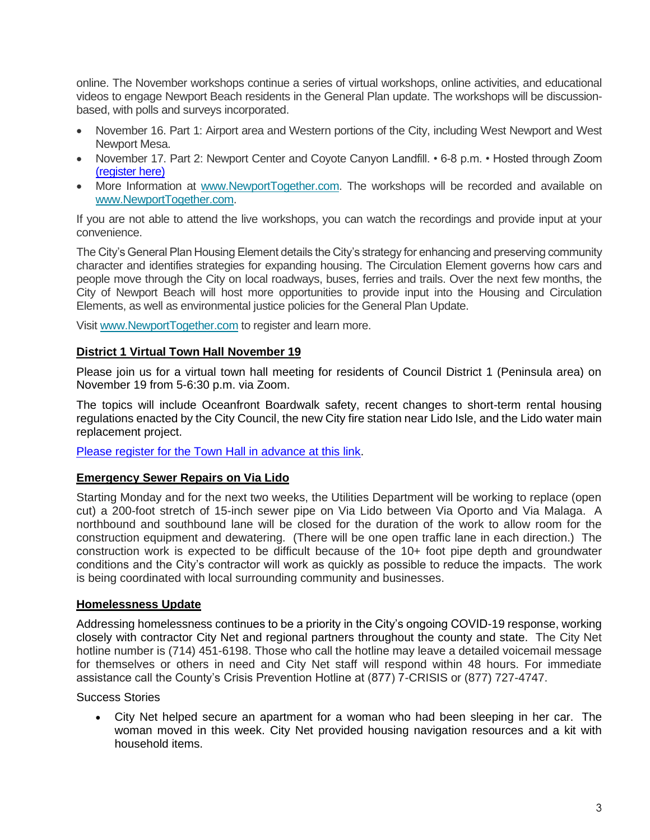online. The November workshops continue a series of virtual workshops, online activities, and educational videos to engage Newport Beach residents in the General Plan update. The workshops will be discussionbased, with polls and surveys incorporated.

- November 16. Part 1: Airport area and Western portions of the City, including West Newport and West Newport Mesa.
- November 17. Part 2: Newport Center and Coyote Canyon Landfill. 6-8 p.m. Hosted through Zoom [\(register here\)](https://zoom.us/meeting/register/tJMrduqqpz4uGdY79F7tepkYWnEzWZboA2qu)
- More Information at [www.NewportTogether.com.](http://www.newporttogether.com/) The workshops will be recorded and available on [www.NewportTogether.com.](http://www.newporttogether.com/)

If you are not able to attend the live workshops, you can watch the recordings and provide input at your convenience.

The City's General Plan Housing Element details the City's strategy for enhancing and preserving community character and identifies strategies for expanding housing. The Circulation Element governs how cars and people move through the City on local roadways, buses, ferries and trails. Over the next few months, the City of Newport Beach will host more opportunities to provide input into the Housing and Circulation Elements, as well as environmental justice policies for the General Plan Update.

Visit [www.NewportTogether.com](http://www.newporttogether.com/) to register and learn more.

### **District 1 Virtual Town Hall November 19**

Please join us for a virtual town hall meeting for residents of Council District 1 (Peninsula area) on November 19 from 5-6:30 p.m. via Zoom.

The topics will include Oceanfront Boardwalk safety, recent changes to short-term rental housing regulations enacted by the City Council, the new City fire station near Lido Isle, and the Lido water main replacement project.

[Please register for the Town Hall in advance at this link.](https://zoom.us/webinar/register/WN_vu39EhAeTkWJ-33GOz3nxA)

# **Emergency Sewer Repairs on Via Lido**

Starting Monday and for the next two weeks, the Utilities Department will be working to replace (open cut) a 200-foot stretch of 15-inch sewer pipe on Via Lido between Via Oporto and Via Malaga. A northbound and southbound lane will be closed for the duration of the work to allow room for the construction equipment and dewatering. (There will be one open traffic lane in each direction.) The construction work is expected to be difficult because of the 10+ foot pipe depth and groundwater conditions and the City's contractor will work as quickly as possible to reduce the impacts. The work is being coordinated with local surrounding community and businesses.

# **Homelessness Update**

Addressing homelessness continues to be a priority in the City's ongoing COVID-19 response, working closely with contractor City Net and regional partners throughout the county and state. The City Net hotline number is (714) 451-6198. Those who call the hotline may leave a detailed voicemail message for themselves or others in need and City Net staff will respond within 48 hours. For immediate assistance call the County's Crisis Prevention Hotline at (877) 7-CRISIS or (877) 727-4747.

Success Stories

• City Net helped secure an apartment for a woman who had been sleeping in her car. The woman moved in this week. City Net provided housing navigation resources and a kit with household items.